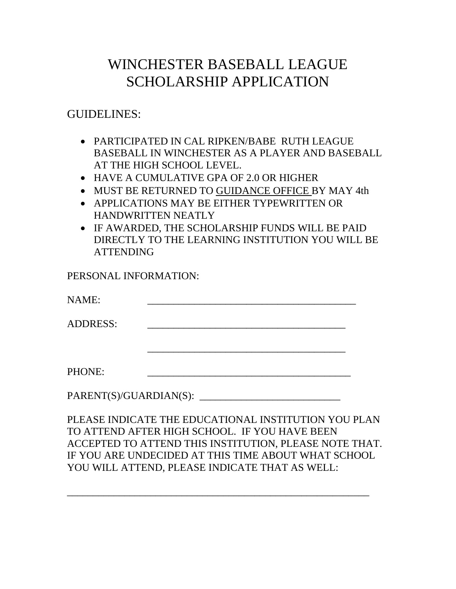# WINCHESTER BASEBALL LEAGUE SCHOLARSHIP APPLICATION

## GUIDELINES:

- PARTICIPATED IN CAL RIPKEN/BABE RUTH LEAGUE BASEBALL IN WINCHESTER AS A PLAYER AND BASEBALL AT THE HIGH SCHOOL LEVEL.
- HAVE A CUMULATIVE GPA OF 2.0 OR HIGHER
- MUST BE RETURNED TO GUIDANCE OFFICE BY MAY 4th
- APPLICATIONS MAY BE EITHER TYPEWRITTEN OR HANDWRITTEN NEATLY
- IF AWARDED, THE SCHOLARSHIP FUNDS WILL BE PAID DIRECTLY TO THE LEARNING INSTITUTION YOU WILL BE ATTENDING

#### PERSONAL INFORMATION:

NAME: \_\_\_\_\_\_\_\_\_\_\_\_\_\_\_\_\_\_\_\_\_\_\_\_\_\_\_\_\_\_\_\_\_\_\_\_\_\_\_\_

ADDRESS:

\_\_\_\_\_\_\_\_\_\_\_\_\_\_\_\_\_\_\_\_\_\_\_\_\_\_\_\_\_\_\_\_\_\_\_\_\_\_

PHONE:

PARENT(S)/GUARDIAN(S):

PLEASE INDICATE THE EDUCATIONAL INSTITUTION YOU PLAN TO ATTEND AFTER HIGH SCHOOL. IF YOU HAVE BEEN ACCEPTED TO ATTEND THIS INSTITUTION, PLEASE NOTE THAT. IF YOU ARE UNDECIDED AT THIS TIME ABOUT WHAT SCHOOL YOU WILL ATTEND, PLEASE INDICATE THAT AS WELL:

\_\_\_\_\_\_\_\_\_\_\_\_\_\_\_\_\_\_\_\_\_\_\_\_\_\_\_\_\_\_\_\_\_\_\_\_\_\_\_\_\_\_\_\_\_\_\_\_\_\_\_\_\_\_\_\_\_\_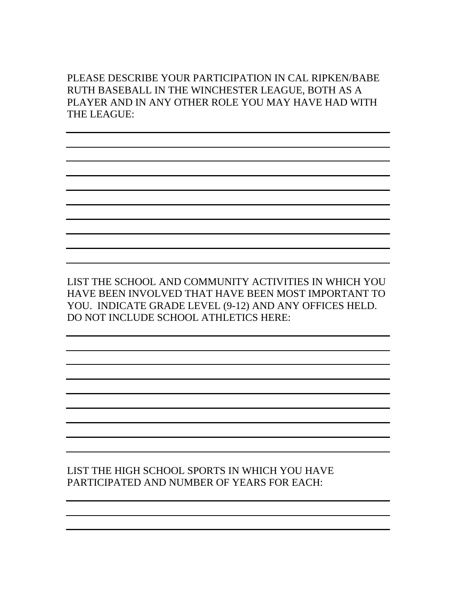PLEASE DESCRIBE YOUR PARTICIPATION IN CAL RIPKEN/BABE RUTH BASEBALL IN THE WINCHESTER LEAGUE, BOTH AS A PLAYER AND IN ANY OTHER ROLE YOU MAY HAVE HAD WITH THE LEAGUE:

LIST THE SCHOOL AND COMMUNITY ACTIVITIES IN WHICH YOU HAVE BEEN INVOLVED THAT HAVE BEEN MOST IMPORTANT TO YOU. INDICATE GRADE LEVEL (9-12) AND ANY OFFICES HELD. DO NOT INCLUDE SCHOOL ATHLETICS HERE:

LIST THE HIGH SCHOOL SPORTS IN WHICH YOU HAVE PARTICIPATED AND NUMBER OF YEARS FOR EACH: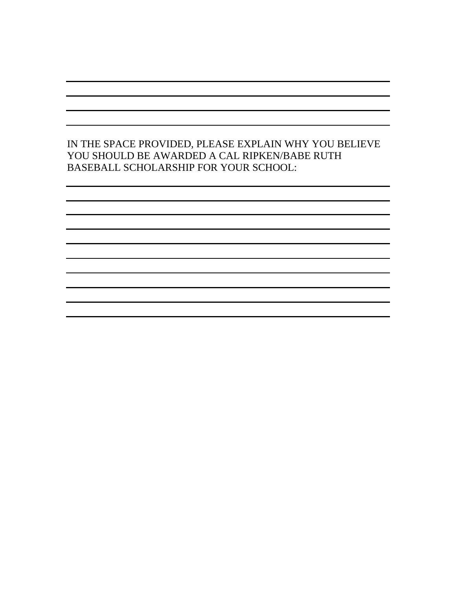#### IN THE SPACE PROVIDED, PLEASE EXPLAIN WHY YOU BELIEVE YOU SHOULD BE AWARDED A CAL RIPKEN/BABE RUTH BASEBALL SCHOLARSHIP FOR YOUR SCHOOL: